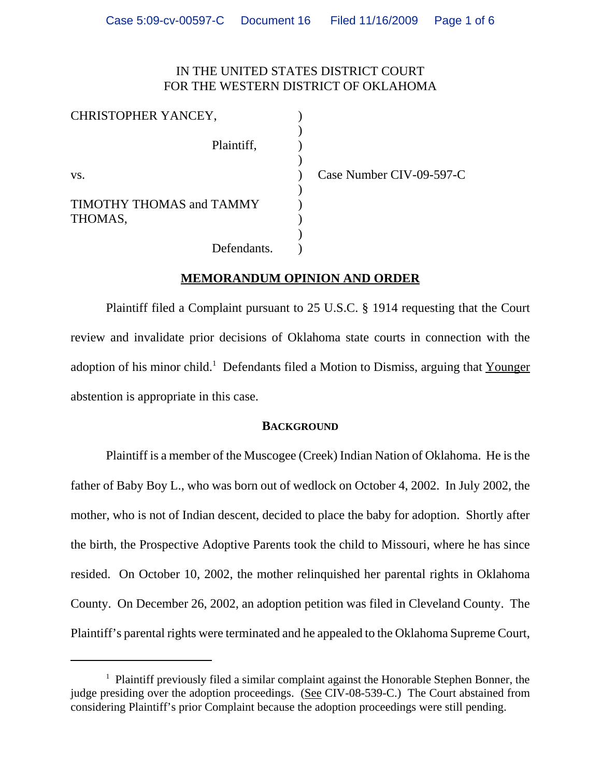# IN THE UNITED STATES DISTRICT COURT FOR THE WESTERN DISTRICT OF OKLAHOMA

| CHRISTOPHER YANCEY,             |                          |
|---------------------------------|--------------------------|
| Plaintiff,                      |                          |
| VS.                             | Case Number CIV-09-597-C |
| <b>TIMOTHY THOMAS and TAMMY</b> |                          |
| THOMAS,                         |                          |
| Defendants.                     |                          |

## **MEMORANDUM OPINION AND ORDER**

Plaintiff filed a Complaint pursuant to 25 U.S.C. § 1914 requesting that the Court review and invalidate prior decisions of Oklahoma state courts in connection with the adoption of his minor child.<sup>1</sup> Defendants filed a Motion to Dismiss, arguing that Younger abstention is appropriate in this case.

#### **BACKGROUND**

Plaintiff is a member of the Muscogee (Creek) Indian Nation of Oklahoma. He is the father of Baby Boy L., who was born out of wedlock on October 4, 2002. In July 2002, the mother, who is not of Indian descent, decided to place the baby for adoption. Shortly after the birth, the Prospective Adoptive Parents took the child to Missouri, where he has since resided. On October 10, 2002, the mother relinquished her parental rights in Oklahoma County. On December 26, 2002, an adoption petition was filed in Cleveland County. The Plaintiff's parental rights were terminated and he appealed to the Oklahoma Supreme Court,

<sup>&</sup>lt;sup>1</sup> Plaintiff previously filed a similar complaint against the Honorable Stephen Bonner, the judge presiding over the adoption proceedings. (See CIV-08-539-C.) The Court abstained from considering Plaintiff's prior Complaint because the adoption proceedings were still pending.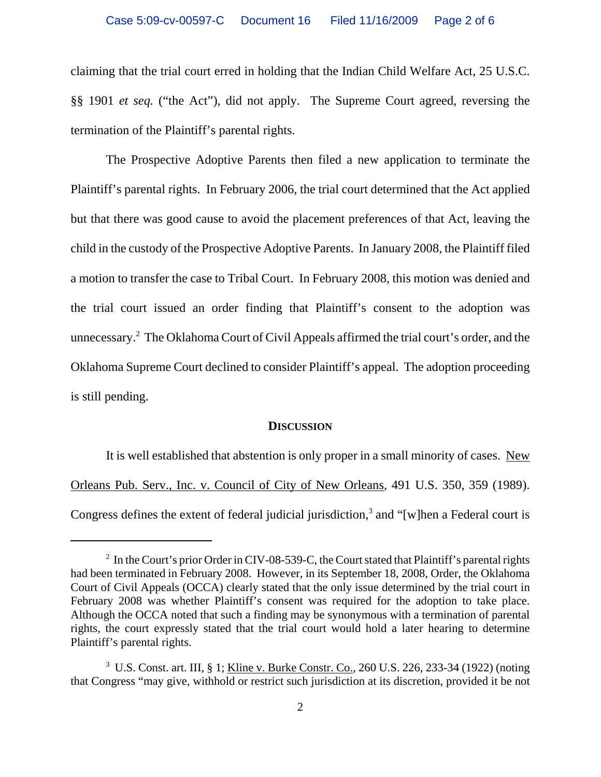claiming that the trial court erred in holding that the Indian Child Welfare Act, 25 U.S.C. §§ 1901 *et seq.* ("the Act"), did not apply. The Supreme Court agreed, reversing the termination of the Plaintiff's parental rights.

The Prospective Adoptive Parents then filed a new application to terminate the Plaintiff's parental rights. In February 2006, the trial court determined that the Act applied but that there was good cause to avoid the placement preferences of that Act, leaving the child in the custody of the Prospective Adoptive Parents. In January 2008, the Plaintiff filed a motion to transfer the case to Tribal Court. In February 2008, this motion was denied and the trial court issued an order finding that Plaintiff's consent to the adoption was unnecessary.<sup>2</sup> The Oklahoma Court of Civil Appeals affirmed the trial court's order, and the Oklahoma Supreme Court declined to consider Plaintiff's appeal. The adoption proceeding is still pending.

#### **DISCUSSION**

It is well established that abstention is only proper in a small minority of cases. New Orleans Pub. Serv., Inc. v. Council of City of New Orleans, 491 U.S. 350, 359 (1989). Congress defines the extent of federal judicial jurisdiction,<sup>3</sup> and "[w]hen a Federal court is

 $2 \text{ In the Court's prior Order in CIV-08-539-C, the Court stated that Plaintiff's parental rights.}$ had been terminated in February 2008. However, in its September 18, 2008, Order, the Oklahoma Court of Civil Appeals (OCCA) clearly stated that the only issue determined by the trial court in February 2008 was whether Plaintiff's consent was required for the adoption to take place. Although the OCCA noted that such a finding may be synonymous with a termination of parental rights, the court expressly stated that the trial court would hold a later hearing to determine Plaintiff's parental rights.

<sup>&</sup>lt;sup>3</sup> U.S. Const. art. III, § 1; Kline v. Burke Constr. Co., 260 U.S. 226, 233-34 (1922) (noting that Congress "may give, withhold or restrict such jurisdiction at its discretion, provided it be not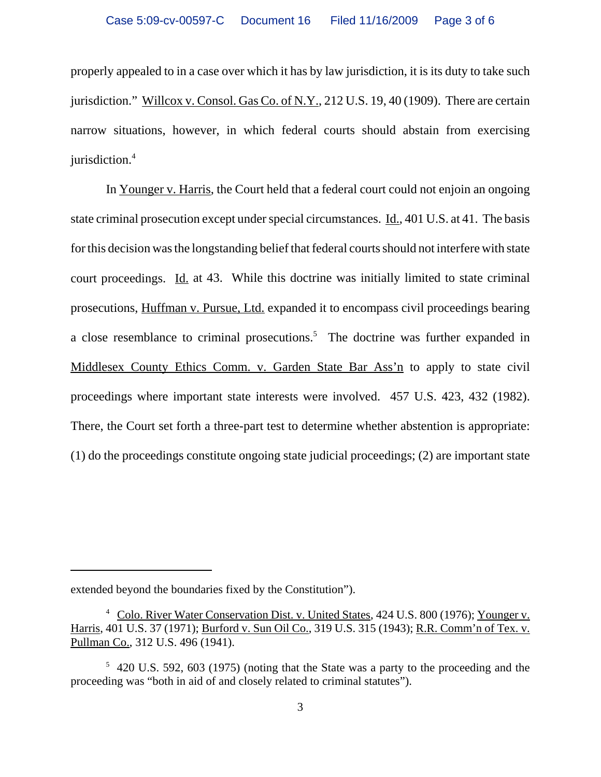properly appealed to in a case over which it has by law jurisdiction, it is its duty to take such jurisdiction." Willcox v. Consol. Gas Co. of N.Y., 212 U.S. 19, 40 (1909). There are certain narrow situations, however, in which federal courts should abstain from exercising jurisdiction.<sup>4</sup>

In Younger v. Harris, the Court held that a federal court could not enjoin an ongoing state criminal prosecution except under special circumstances. Id., 401 U.S. at 41. The basis for this decision was the longstanding belief that federal courts should not interfere with state court proceedings. Id. at 43. While this doctrine was initially limited to state criminal prosecutions, Huffman v. Pursue, Ltd. expanded it to encompass civil proceedings bearing a close resemblance to criminal prosecutions.<sup>5</sup> The doctrine was further expanded in Middlesex County Ethics Comm. v. Garden State Bar Ass'n to apply to state civil proceedings where important state interests were involved. 457 U.S. 423, 432 (1982). There, the Court set forth a three-part test to determine whether abstention is appropriate: (1) do the proceedings constitute ongoing state judicial proceedings; (2) are important state

extended beyond the boundaries fixed by the Constitution").

<sup>&</sup>lt;sup>4</sup> Colo. River Water Conservation Dist. v. United States, 424 U.S. 800 (1976); Younger v. Harris, 401 U.S. 37 (1971); Burford v. Sun Oil Co., 319 U.S. 315 (1943); R.R. Comm'n of Tex. v. Pullman Co., 312 U.S. 496 (1941).

<sup>&</sup>lt;sup>5</sup> 420 U.S. 592, 603 (1975) (noting that the State was a party to the proceeding and the proceeding was "both in aid of and closely related to criminal statutes").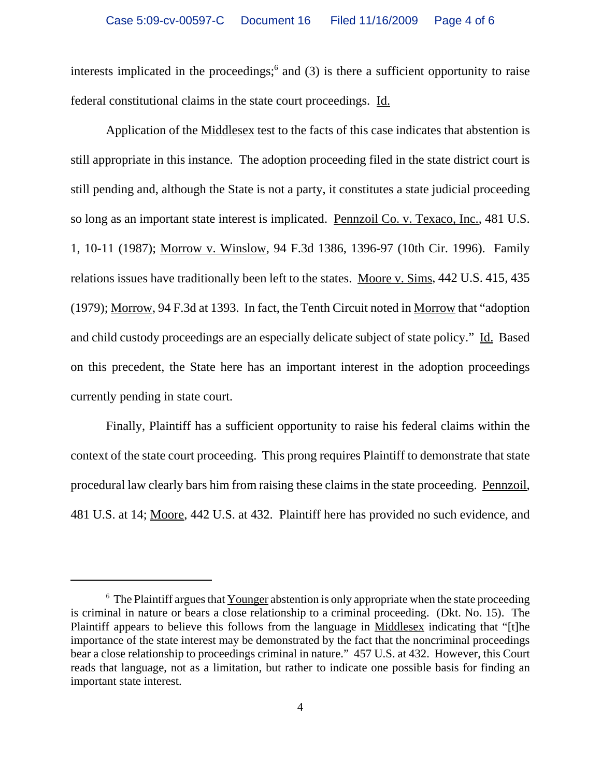interests implicated in the proceedings;  $6$  and (3) is there a sufficient opportunity to raise federal constitutional claims in the state court proceedings. Id.

Application of the Middlesex test to the facts of this case indicates that abstention is still appropriate in this instance. The adoption proceeding filed in the state district court is still pending and, although the State is not a party, it constitutes a state judicial proceeding so long as an important state interest is implicated. Pennzoil Co. v. Texaco, Inc., 481 U.S. 1, 10-11 (1987); Morrow v. Winslow, 94 F.3d 1386, 1396-97 (10th Cir. 1996). Family relations issues have traditionally been left to the states. Moore v. Sims, 442 U.S. 415, 435 (1979); Morrow, 94 F.3d at 1393. In fact, the Tenth Circuit noted in Morrow that "adoption and child custody proceedings are an especially delicate subject of state policy." Id. Based on this precedent, the State here has an important interest in the adoption proceedings currently pending in state court.

Finally, Plaintiff has a sufficient opportunity to raise his federal claims within the context of the state court proceeding. This prong requires Plaintiff to demonstrate that state procedural law clearly bars him from raising these claims in the state proceeding. Pennzoil, 481 U.S. at 14; Moore, 442 U.S. at 432. Plaintiff here has provided no such evidence, and

 $6$  The Plaintiff argues that Younger abstention is only appropriate when the state proceeding is criminal in nature or bears a close relationship to a criminal proceeding. (Dkt. No. 15). The Plaintiff appears to believe this follows from the language in Middlesex indicating that "[t]he importance of the state interest may be demonstrated by the fact that the noncriminal proceedings bear a close relationship to proceedings criminal in nature." 457 U.S. at 432. However, this Court reads that language, not as a limitation, but rather to indicate one possible basis for finding an important state interest.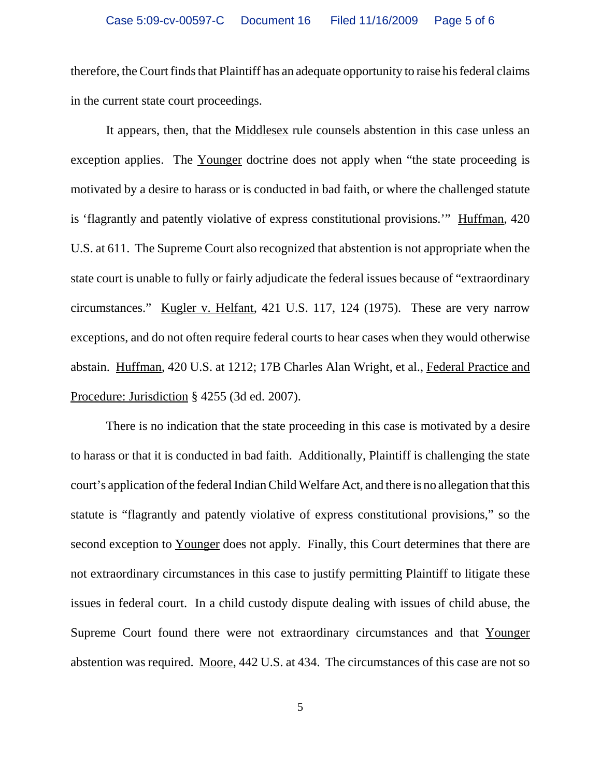therefore, the Court finds that Plaintiff has an adequate opportunity to raise his federal claims in the current state court proceedings.

It appears, then, that the Middlesex rule counsels abstention in this case unless an exception applies. The Younger doctrine does not apply when "the state proceeding is motivated by a desire to harass or is conducted in bad faith, or where the challenged statute is 'flagrantly and patently violative of express constitutional provisions.'" Huffman, 420 U.S. at 611. The Supreme Court also recognized that abstention is not appropriate when the state court is unable to fully or fairly adjudicate the federal issues because of "extraordinary circumstances." Kugler v. Helfant, 421 U.S. 117, 124 (1975). These are very narrow exceptions, and do not often require federal courts to hear cases when they would otherwise abstain. Huffman, 420 U.S. at 1212; 17B Charles Alan Wright, et al., Federal Practice and Procedure: Jurisdiction § 4255 (3d ed. 2007).

There is no indication that the state proceeding in this case is motivated by a desire to harass or that it is conducted in bad faith. Additionally, Plaintiff is challenging the state court's application of the federal Indian Child Welfare Act, and there is no allegation that this statute is "flagrantly and patently violative of express constitutional provisions," so the second exception to Younger does not apply. Finally, this Court determines that there are not extraordinary circumstances in this case to justify permitting Plaintiff to litigate these issues in federal court. In a child custody dispute dealing with issues of child abuse, the Supreme Court found there were not extraordinary circumstances and that Younger abstention was required. Moore, 442 U.S. at 434. The circumstances of this case are not so